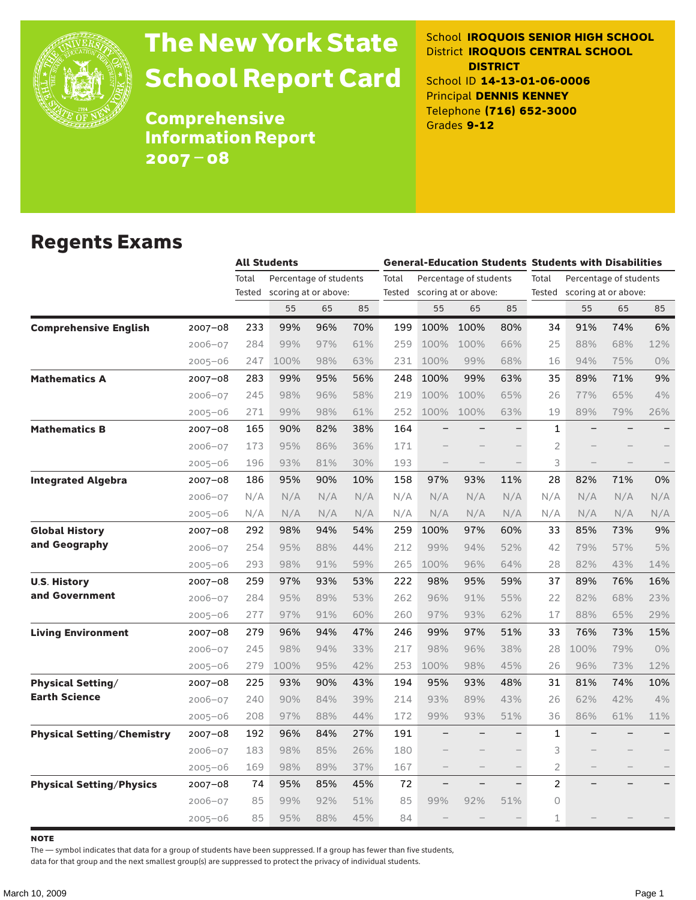

# The New York State School Report Card

School **IROQUOIS SENIOR HIGH SCHOOL** District **IROQUOIS CENTRAL SCHOOL DISTRICT** School ID **14-13-01-06-0006** Principal **DENNIS KENNEY** Telephone **(716) 652-3000** Grades **9-12**

**Comprehensive** Information Report 2007–08

#### Regents Exams

|                                   |             | <b>All Students</b> |                        |     |     | <b>General-Education Students Students with Disabilities</b> |                             |                        |     |                                 |      |     |       |
|-----------------------------------|-------------|---------------------|------------------------|-----|-----|--------------------------------------------------------------|-----------------------------|------------------------|-----|---------------------------------|------|-----|-------|
|                                   |             | Total               | Percentage of students |     |     | Total                                                        |                             | Percentage of students |     | Total<br>Percentage of students |      |     |       |
|                                   |             | Tested              | scoring at or above:   |     |     |                                                              | Tested scoring at or above: |                        |     | Tested scoring at or above:     |      |     |       |
|                                   |             |                     | 55                     | 65  | 85  |                                                              | 55                          | 65                     | 85  |                                 | 55   | 65  | 85    |
| <b>Comprehensive English</b>      | $2007 - 08$ | 233                 | 99%                    | 96% | 70% | 199                                                          | 100%                        | 100%                   | 80% | 34                              | 91%  | 74% | 6%    |
|                                   | $2006 - 07$ | 284                 | 99%                    | 97% | 61% | 259                                                          | 100%                        | 100%                   | 66% | 25                              | 88%  | 68% | 12%   |
|                                   | $2005 - 06$ | 247                 | 100%                   | 98% | 63% | 231                                                          | 100%                        | 99%                    | 68% | 16                              | 94%  | 75% | $0\%$ |
| <b>Mathematics A</b>              | $2007 - 08$ | 283                 | 99%                    | 95% | 56% | 248                                                          | 100%                        | 99%                    | 63% | 35                              | 89%  | 71% | 9%    |
|                                   | $2006 - 07$ | 245                 | 98%                    | 96% | 58% | 219                                                          | 100%                        | 100%                   | 65% | 26                              | 77%  | 65% | 4%    |
|                                   | $2005 - 06$ | 271                 | 99%                    | 98% | 61% | 252                                                          | 100%                        | 100%                   | 63% | 19                              | 89%  | 79% | 26%   |
| <b>Mathematics B</b>              | $2007 - 08$ | 165                 | 90%                    | 82% | 38% | 164                                                          |                             |                        |     | $\mathbf{1}$                    |      |     |       |
|                                   | $2006 - 07$ | 173                 | 95%                    | 86% | 36% | 171                                                          |                             |                        |     | $\overline{2}$                  |      |     |       |
|                                   | $2005 - 06$ | 196                 | 93%                    | 81% | 30% | 193                                                          | $\qquad \qquad -$           |                        |     | 3                               |      |     |       |
| <b>Integrated Algebra</b>         | 2007-08     | 186                 | 95%                    | 90% | 10% | 158                                                          | 97%                         | 93%                    | 11% | 28                              | 82%  | 71% | 0%    |
|                                   | $2006 - 07$ | N/A                 | N/A                    | N/A | N/A | N/A                                                          | N/A                         | N/A                    | N/A | N/A                             | N/A  | N/A | N/A   |
|                                   | $2005 - 06$ | N/A                 | N/A                    | N/A | N/A | N/A                                                          | N/A                         | N/A                    | N/A | N/A                             | N/A  | N/A | N/A   |
| <b>Global History</b>             | $2007 - 08$ | 292                 | 98%                    | 94% | 54% | 259                                                          | 100%                        | 97%                    | 60% | 33                              | 85%  | 73% | 9%    |
| and Geography                     | $2006 - 07$ | 254                 | 95%                    | 88% | 44% | 212                                                          | 99%                         | 94%                    | 52% | 42                              | 79%  | 57% | 5%    |
|                                   | $2005 - 06$ | 293                 | 98%                    | 91% | 59% | 265                                                          | 100%                        | 96%                    | 64% | 28                              | 82%  | 43% | 14%   |
| <b>U.S. History</b>               | $2007 - 08$ | 259                 | 97%                    | 93% | 53% | 222                                                          | 98%                         | 95%                    | 59% | 37                              | 89%  | 76% | 16%   |
| and Government                    | $2006 - 07$ | 284                 | 95%                    | 89% | 53% | 262                                                          | 96%                         | 91%                    | 55% | 22                              | 82%  | 68% | 23%   |
|                                   | $2005 - 06$ | 277                 | 97%                    | 91% | 60% | 260                                                          | 97%                         | 93%                    | 62% | 17                              | 88%  | 65% | 29%   |
| <b>Living Environment</b>         | 2007-08     | 279                 | 96%                    | 94% | 47% | 246                                                          | 99%                         | 97%                    | 51% | 33                              | 76%  | 73% | 15%   |
|                                   | $2006 - 07$ | 245                 | 98%                    | 94% | 33% | 217                                                          | 98%                         | 96%                    | 38% | 28                              | 100% | 79% | 0%    |
|                                   | $2005 - 06$ | 279                 | 100%                   | 95% | 42% | 253                                                          | 100%                        | 98%                    | 45% | 26                              | 96%  | 73% | 12%   |
| <b>Physical Setting/</b>          | 2007-08     | 225                 | 93%                    | 90% | 43% | 194                                                          | 95%                         | 93%                    | 48% | 31                              | 81%  | 74% | 10%   |
| <b>Earth Science</b>              | $2006 - 07$ | 240                 | 90%                    | 84% | 39% | 214                                                          | 93%                         | 89%                    | 43% | 26                              | 62%  | 42% | 4%    |
|                                   | $2005 - 06$ | 208                 | 97%                    | 88% | 44% | 172                                                          | 99%                         | 93%                    | 51% | 36                              | 86%  | 61% | 11%   |
| <b>Physical Setting/Chemistry</b> | 2007-08     | 192                 | 96%                    | 84% | 27% | 191                                                          |                             |                        |     | 1                               |      |     |       |
|                                   | $2006 - 07$ | 183                 | 98%                    | 85% | 26% | 180                                                          |                             |                        |     | 3                               |      |     |       |
|                                   | $2005 - 06$ | 169                 | 98%                    | 89% | 37% | 167                                                          |                             |                        |     | $\overline{2}$                  |      |     |       |
| <b>Physical Setting/Physics</b>   | 2007-08     | 74                  | 95%                    | 85% | 45% | 72                                                           |                             |                        |     | $\overline{2}$                  |      |     |       |
|                                   | $2006 - 07$ | 85                  | 99%                    | 92% | 51% | 85                                                           | 99%                         | 92%                    | 51% | 0                               |      |     |       |
|                                   | $2005 - 06$ | 85                  | 95%                    | 88% | 45% | 84                                                           |                             |                        |     | $\mathbf 1$                     |      |     |       |

**NOTE** 

The — symbol indicates that data for a group of students have been suppressed. If a group has fewer than five students,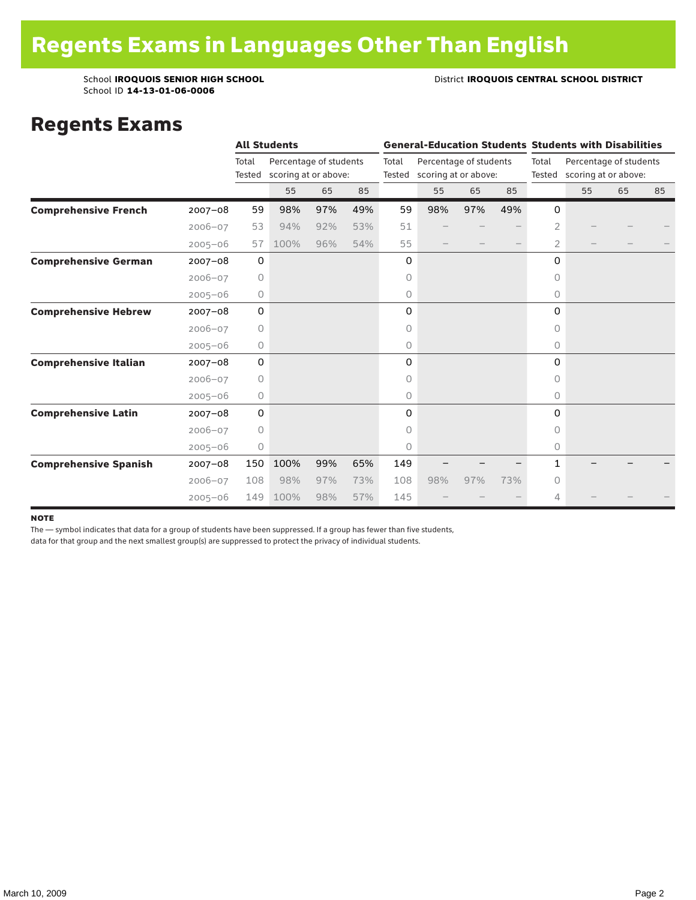School ID **14-13-01-06-0006**

#### School **IROQUOIS SENIOR HIGH SCHOOL District <b>IROQUOIS CENTRAL SCHOOL DISTRICT**

#### Regents Exams

|                              |             |                 | <b>All Students</b>                            |     |     |       | <b>General-Education Students Students with Disabilities</b> |     |     |                |                                                       |    |    |  |
|------------------------------|-------------|-----------------|------------------------------------------------|-----|-----|-------|--------------------------------------------------------------|-----|-----|----------------|-------------------------------------------------------|----|----|--|
|                              |             | Total<br>Tested | Percentage of students<br>scoring at or above: |     |     | Total | Percentage of students<br>Tested scoring at or above:        |     |     | Total          | Percentage of students<br>Tested scoring at or above: |    |    |  |
|                              |             |                 | 55                                             | 65  | 85  |       | 55                                                           | 65  | 85  |                | 55                                                    | 65 | 85 |  |
| <b>Comprehensive French</b>  | $2007 - 08$ | 59              | 98%                                            | 97% | 49% | 59    | 98%                                                          | 97% | 49% | 0              |                                                       |    |    |  |
|                              | $2006 - 07$ | 53              | 94%                                            | 92% | 53% | 51    |                                                              |     |     | $\overline{2}$ |                                                       |    |    |  |
|                              | $2005 - 06$ | 57              | 100%                                           | 96% | 54% | 55    |                                                              |     |     | 2              |                                                       |    |    |  |
| <b>Comprehensive German</b>  | $2007 - 08$ | $\mathbf 0$     |                                                |     |     | 0     |                                                              |     |     | 0              |                                                       |    |    |  |
|                              | $2006 - 07$ | 0               |                                                |     |     | 0     |                                                              |     |     | $\circ$        |                                                       |    |    |  |
|                              | $2005 - 06$ | 0               |                                                |     |     | 0     |                                                              |     |     | 0              |                                                       |    |    |  |
| <b>Comprehensive Hebrew</b>  | $2007 - 08$ | $\mathbf 0$     |                                                |     |     | 0     |                                                              |     |     | $\Omega$       |                                                       |    |    |  |
|                              | $2006 - 07$ | $\circ$         |                                                |     |     | 0     |                                                              |     |     | 0              |                                                       |    |    |  |
|                              | $2005 - 06$ | 0               |                                                |     |     | 0     |                                                              |     |     | 0              |                                                       |    |    |  |
| <b>Comprehensive Italian</b> | $2007 - 08$ | 0               |                                                |     |     | 0     |                                                              |     |     | 0              |                                                       |    |    |  |
|                              | $2006 - 07$ | $\circ$         |                                                |     |     | 0     |                                                              |     |     | 0              |                                                       |    |    |  |
|                              | $2005 - 06$ | 0               |                                                |     |     | 0     |                                                              |     |     | 0              |                                                       |    |    |  |
| <b>Comprehensive Latin</b>   | $2007 - 08$ | $\mathbf 0$     |                                                |     |     | 0     |                                                              |     |     | $\Omega$       |                                                       |    |    |  |
|                              | $2006 - 07$ | $\circ$         |                                                |     |     | 0     |                                                              |     |     | $\bigcap$      |                                                       |    |    |  |
|                              | $2005 - 06$ | $\circ$         |                                                |     |     | 0     |                                                              |     |     | $\circ$        |                                                       |    |    |  |
| <b>Comprehensive Spanish</b> | $2007 - 08$ | 150             | 100%                                           | 99% | 65% | 149   |                                                              |     |     | 1              |                                                       |    |    |  |
|                              | $2006 - 07$ | 108             | 98%                                            | 97% | 73% | 108   | 98%                                                          | 97% | 73% | $\circ$        |                                                       |    |    |  |
|                              | $2005 - 06$ | 149             | 100%                                           | 98% | 57% | 145   |                                                              |     |     | 4              |                                                       |    |    |  |

#### note

The — symbol indicates that data for a group of students have been suppressed. If a group has fewer than five students,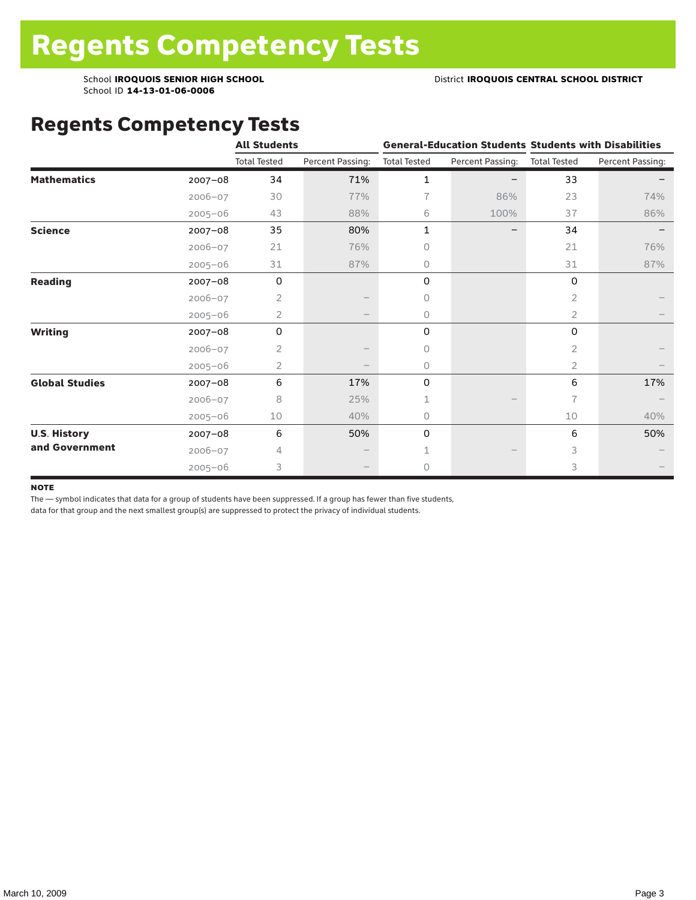School ID **14-13-01-06-0006**

### Regents Competency Tests

|                       |             | <b>All Students</b> |                  |                     |                  | <b>General-Education Students Students with Disabilities</b> |                  |  |
|-----------------------|-------------|---------------------|------------------|---------------------|------------------|--------------------------------------------------------------|------------------|--|
|                       |             | <b>Total Tested</b> | Percent Passing: | <b>Total Tested</b> | Percent Passing: | <b>Total Tested</b>                                          | Percent Passing: |  |
| <b>Mathematics</b>    | $2007 - 08$ | 34                  | 71%              | $\mathbf{1}$        |                  | 33                                                           |                  |  |
|                       | $2006 - 07$ | 30                  | 77%              | 7                   | 86%              | 23                                                           | 74%              |  |
|                       | $2005 - 06$ | 43                  | 88%              | 6                   | 100%             | 37                                                           | 86%              |  |
| <b>Science</b>        | $2007 - 08$ | 35                  | 80%              | 1                   |                  | 34                                                           |                  |  |
|                       | $2006 - 07$ | 21                  | 76%              | 0                   |                  | 21                                                           | 76%              |  |
|                       | $2005 - 06$ | 31                  | 87%              | 0                   |                  | 31                                                           | 87%              |  |
| <b>Reading</b>        | $2007 - 08$ | 0                   |                  | 0                   |                  | 0                                                            |                  |  |
|                       | $2006 - 07$ | 2                   |                  | 0                   |                  | $\overline{2}$                                               |                  |  |
|                       | $2005 - 06$ | 2                   |                  | 0                   |                  | $\overline{2}$                                               |                  |  |
| <b>Writing</b>        | $2007 - 08$ | 0                   |                  | 0                   |                  | 0                                                            |                  |  |
|                       | $2006 - 07$ | 2                   |                  | 0                   |                  | $\overline{2}$                                               |                  |  |
|                       | $2005 - 06$ | 2                   |                  | 0                   |                  | $\overline{2}$                                               |                  |  |
| <b>Global Studies</b> | 2007-08     | 6                   | 17%              | 0                   |                  | 6                                                            | 17%              |  |
|                       | $2006 - 07$ | 8                   | 25%              | 1                   |                  | 7                                                            |                  |  |
|                       | $2005 - 06$ | 10                  | 40%              | 0                   |                  | 10                                                           | 40%              |  |
| <b>U.S. History</b>   | 2007-08     | 6                   | 50%              | 0                   |                  | 6                                                            | 50%              |  |
| and Government        | $2006 - 07$ | 4                   |                  |                     |                  | 3                                                            |                  |  |
|                       | $2005 - 06$ | 3                   |                  | 0                   |                  | 3                                                            |                  |  |

#### **NOTE**

The — symbol indicates that data for a group of students have been suppressed. If a group has fewer than five students,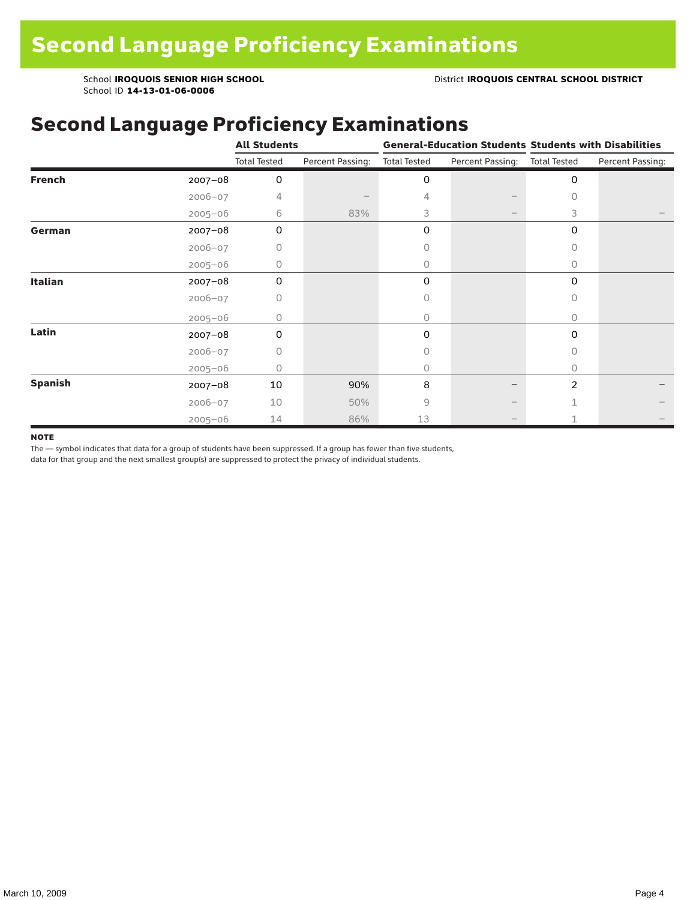School **IROQUOIS SENIOR HIGH SCHOOL** District **IROQUOIS CENTRAL SCHOOL DISTRICT**

School ID **14-13-01-06-0006**

### Second Language Proficiency Examinations

|                |             | <b>All Students</b> |                  |                     |                               | <b>General-Education Students Students with Disabilities</b> |                  |  |
|----------------|-------------|---------------------|------------------|---------------------|-------------------------------|--------------------------------------------------------------|------------------|--|
|                |             | <b>Total Tested</b> | Percent Passing: | <b>Total Tested</b> | Percent Passing: Total Tested |                                                              | Percent Passing: |  |
| <b>French</b>  | $2007 - 08$ | 0                   |                  | 0                   |                               | 0                                                            |                  |  |
|                | $2006 - 07$ | 4                   |                  | 4                   |                               | 0                                                            |                  |  |
|                | $2005 - 06$ | 6                   | 83%              | 3                   | $\qquad \qquad -$             | 3                                                            |                  |  |
| German         | 2007-08     | 0                   |                  | 0                   |                               | 0                                                            |                  |  |
|                | $2006 - 07$ | 0                   |                  | Ω                   |                               | 0                                                            |                  |  |
|                | $2005 - 06$ | 0                   |                  | 0                   |                               | $\Omega$                                                     |                  |  |
| <b>Italian</b> | 2007-08     | 0                   |                  | 0                   |                               | 0                                                            |                  |  |
|                | $2006 - 07$ | 0                   |                  | 0                   |                               | 0                                                            |                  |  |
|                | $2005 - 06$ | Ω                   |                  | 0                   |                               | 0                                                            |                  |  |
| Latin          | 2007-08     | $\Omega$            |                  | $\Omega$            |                               | 0                                                            |                  |  |
|                | $2006 - 07$ | 0                   |                  | 0                   |                               | 0                                                            |                  |  |
|                | $2005 - 06$ | 0                   |                  | 0                   |                               | 0                                                            |                  |  |
| <b>Spanish</b> | $2007 - 08$ | 10                  | 90%              | 8                   |                               | $\overline{2}$                                               |                  |  |
|                | $2006 - 07$ | 10                  | 50%              | 9                   |                               |                                                              |                  |  |
|                | $2005 - 06$ | 14                  | 86%              | 13                  |                               |                                                              |                  |  |

#### **NOTE**

The — symbol indicates that data for a group of students have been suppressed. If a group has fewer than five students,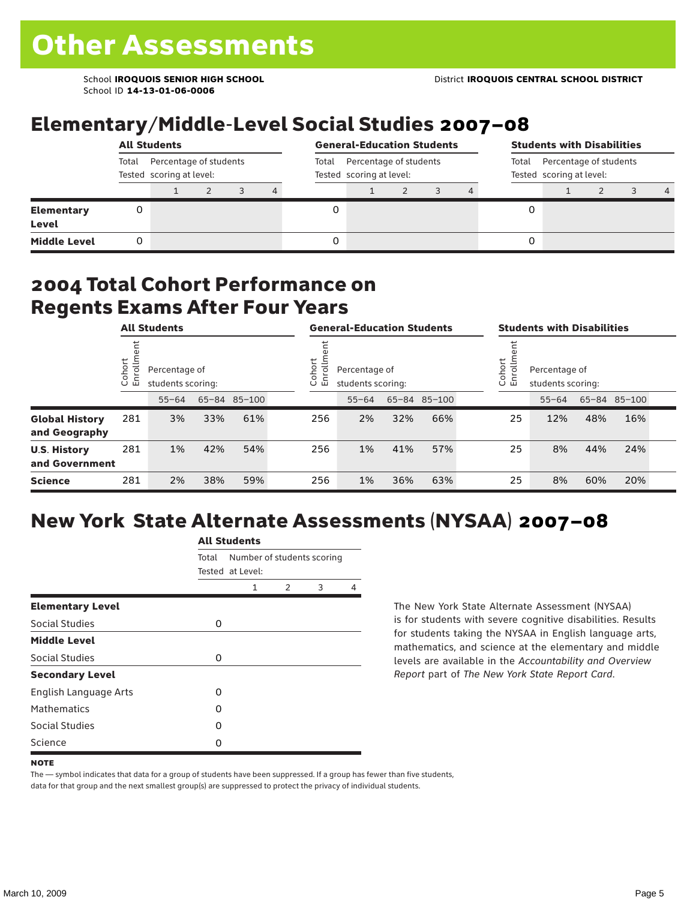School ID **14-13-01-06-0006**

### Elementary/Middle-Level Social Studies 2007–08

|                                   | <b>All Students</b>                                         |  |  |  |                                                             |  | <b>General-Education Students</b><br>Percentage of students<br>Total<br>Tested scoring at level: |  |  |  |   | <b>Students with Disabilities</b> |  |  |   |  |
|-----------------------------------|-------------------------------------------------------------|--|--|--|-------------------------------------------------------------|--|--------------------------------------------------------------------------------------------------|--|--|--|---|-----------------------------------|--|--|---|--|
|                                   | Percentage of students<br>Total<br>Tested scoring at level: |  |  |  | Percentage of students<br>Total<br>Tested scoring at level: |  |                                                                                                  |  |  |  |   |                                   |  |  |   |  |
|                                   |                                                             |  |  |  | 4                                                           |  |                                                                                                  |  |  |  |   |                                   |  |  | 4 |  |
| <b>Elementary</b><br><b>Level</b> | 0                                                           |  |  |  |                                                             |  |                                                                                                  |  |  |  | 0 |                                   |  |  |   |  |
| <b>Middle Level</b>               | 0                                                           |  |  |  |                                                             |  |                                                                                                  |  |  |  | 0 |                                   |  |  |   |  |

#### 2004 Total Cohort Performance on Regents Exams After Four Years

|                                        |                       | <b>All Students</b>                |     |              | <b>General-Education Students</b>                           |           |     |              | <b>Students with Disabilities</b>                             |    |           |     |              |  |
|----------------------------------------|-----------------------|------------------------------------|-----|--------------|-------------------------------------------------------------|-----------|-----|--------------|---------------------------------------------------------------|----|-----------|-----|--------------|--|
|                                        | ゼ<br>Cohoi<br>o,<br>屲 | Percentage of<br>students scoring: |     |              | Cohort<br>Ξ<br>Percentage of<br>ō<br>모<br>students scoring: |           |     |              | Cohort<br>$=$<br>Percentage of<br>9<br>문<br>students scoring: |    |           |     |              |  |
|                                        |                       | $55 - 64$                          |     | 65-84 85-100 |                                                             | $55 - 64$ |     | 65-84 85-100 |                                                               |    | $55 - 64$ |     | 65-84 85-100 |  |
| <b>Global History</b><br>and Geography | 281                   | 3%                                 | 33% | 61%          | 256                                                         | 2%        | 32% | 66%          |                                                               | 25 | 12%       | 48% | 16%          |  |
| <b>U.S. History</b><br>and Government  | 281                   | 1%                                 | 42% | 54%          | 256                                                         | 1%        | 41% | 57%          |                                                               | 25 | 8%        | 44% | 24%          |  |
| <b>Science</b>                         | 281                   | 2%                                 | 38% | 59%          | 256                                                         | 1%        | 36% | 63%          |                                                               | 25 | 8%        | 60% | 20%          |  |

## New York State Alternate Assessments (NYSAA) 2007–08

|                              | <b>All Students</b> |                                                |               |   |   |  |  |  |  |  |
|------------------------------|---------------------|------------------------------------------------|---------------|---|---|--|--|--|--|--|
|                              | Total               | Number of students scoring<br>Tested at Level: |               |   |   |  |  |  |  |  |
|                              |                     | 1                                              | $\mathcal{P}$ | 3 | 4 |  |  |  |  |  |
| <b>Elementary Level</b>      |                     |                                                |               |   |   |  |  |  |  |  |
| Social Studies               | 0                   |                                                |               |   |   |  |  |  |  |  |
| <b>Middle Level</b>          |                     |                                                |               |   |   |  |  |  |  |  |
| Social Studies               | 0                   |                                                |               |   |   |  |  |  |  |  |
| <b>Secondary Level</b>       |                     |                                                |               |   |   |  |  |  |  |  |
| <b>English Language Arts</b> | O                   |                                                |               |   |   |  |  |  |  |  |
| <b>Mathematics</b>           | O                   |                                                |               |   |   |  |  |  |  |  |
| Social Studies               | O                   |                                                |               |   |   |  |  |  |  |  |
| Science                      | Ω                   |                                                |               |   |   |  |  |  |  |  |

The New York State Alternate Assessment (NYSAA) is for students with severe cognitive disabilities. Results for students taking the NYSAA in English language arts, mathematics, and science at the elementary and middle levels are available in the *Accountability and Overview Report* part of *The New York State Report Card*.

The — symbol indicates that data for a group of students have been suppressed. If a group has fewer than five students, data for that group and the next smallest group(s) are suppressed to protect the privacy of individual students.

**NOTE**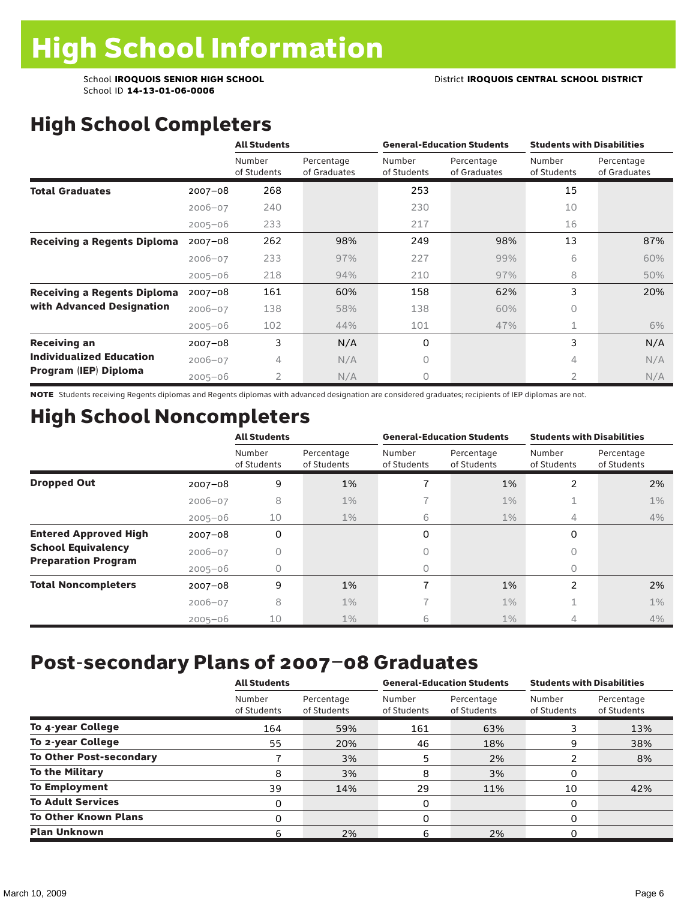School ID **14-13-01-06-0006**

# High School Completers

|                                    |             | <b>All Students</b>   |                            |                       | <b>General-Education Students</b> | <b>Students with Disabilities</b> |                            |  |
|------------------------------------|-------------|-----------------------|----------------------------|-----------------------|-----------------------------------|-----------------------------------|----------------------------|--|
|                                    |             | Number<br>of Students | Percentage<br>of Graduates | Number<br>of Students | Percentage<br>of Graduates        | Number<br>of Students             | Percentage<br>of Graduates |  |
| <b>Total Graduates</b>             | $2007 - 08$ | 268                   |                            | 253                   |                                   | 15                                |                            |  |
|                                    | $2006 - 07$ | 240                   |                            | 230                   |                                   | 10                                |                            |  |
|                                    | $2005 - 06$ | 233                   |                            | 217                   |                                   | 16                                |                            |  |
| <b>Receiving a Regents Diploma</b> | $2007 - 08$ | 262                   | 98%                        | 249                   | 98%                               | 13                                | 87%                        |  |
|                                    | $2006 - 07$ | 233                   | 97%                        | 227                   | 99%                               | 6                                 | 60%                        |  |
|                                    | $2005 - 06$ | 218                   | 94%                        | 210                   | 97%                               | 8                                 | 50%                        |  |
| <b>Receiving a Regents Diploma</b> | $2007 - 08$ | 161                   | 60%                        | 158                   | 62%                               | 3                                 | 20%                        |  |
| with Advanced Designation          | $2006 - 07$ | 138                   | 58%                        | 138                   | 60%                               | 0                                 |                            |  |
|                                    | $2005 - 06$ | 102                   | 44%                        | 101                   | 47%                               | 1                                 | 6%                         |  |
| <b>Receiving an</b>                | $2007 - 08$ | 3                     | N/A                        | 0                     |                                   | 3                                 | N/A                        |  |
| <b>Individualized Education</b>    | $2006 - 07$ | 4                     | N/A                        | 0                     |                                   | 4                                 | N/A                        |  |
| Program (IEP) Diploma              | $2005 - 06$ | 2                     | N/A                        | 0                     |                                   | $\overline{2}$                    | N/A                        |  |

NOTE Students receiving Regents diplomas and Regents diplomas with advanced designation are considered graduates; recipients of IEP diplomas are not.

### High School Noncompleters

|                              |             | <b>All Students</b>   |                           |                       | <b>General-Education Students</b> | <b>Students with Disabilities</b> |                           |  |
|------------------------------|-------------|-----------------------|---------------------------|-----------------------|-----------------------------------|-----------------------------------|---------------------------|--|
|                              |             | Number<br>of Students | Percentage<br>of Students | Number<br>of Students | Percentage<br>of Students         | Number<br>of Students             | Percentage<br>of Students |  |
| <b>Dropped Out</b>           | $2007 - 08$ | 9                     | 1%                        |                       | 1%                                | 2                                 | 2%                        |  |
|                              | $2006 - 07$ | 8                     | $1\%$                     |                       | $1\%$                             | ÷.                                | $1\%$                     |  |
|                              | $2005 - 06$ | 10                    | $1\%$                     | 6                     | $1\%$                             | 4                                 | 4%                        |  |
| <b>Entered Approved High</b> | $2007 - 08$ | 0                     |                           | 0                     |                                   | 0                                 |                           |  |
| <b>School Equivalency</b>    | $2006 - 07$ | 0                     |                           | 0                     |                                   | Ω                                 |                           |  |
| <b>Preparation Program</b>   | $2005 - 06$ | 0                     |                           | 0                     |                                   | O                                 |                           |  |
| <b>Total Noncompleters</b>   | $2007 - 08$ | 9                     | 1%                        | 7                     | 1%                                | $\overline{2}$                    | 2%                        |  |
|                              | $2006 - 07$ | 8                     | $1\%$                     |                       | $1\%$                             | 1                                 | $1\%$                     |  |
|                              | $2005 - 06$ | 10                    | $1\%$                     | 6                     | 1%                                | 4                                 | 4%                        |  |

### Post-secondary Plans of 2007–08 Graduates

|                                | <b>All Students</b>   |                           |                       | <b>General-Education Students</b> | <b>Students with Disabilities</b> |                           |  |
|--------------------------------|-----------------------|---------------------------|-----------------------|-----------------------------------|-----------------------------------|---------------------------|--|
|                                | Number<br>of Students | Percentage<br>of Students | Number<br>of Students | Percentage<br>of Students         | Number<br>of Students             | Percentage<br>of Students |  |
| To 4-year College              | 164                   | 59%                       | 161                   | 63%                               |                                   | 13%                       |  |
| To 2-year College              | 55                    | 20%                       | 46                    | 18%                               | 9                                 | 38%                       |  |
| <b>To Other Post-secondary</b> |                       | 3%                        | 5                     | 2%                                |                                   | 8%                        |  |
| <b>To the Military</b>         | 8                     | 3%                        | 8                     | 3%                                | 0                                 |                           |  |
| <b>To Employment</b>           | 39                    | 14%                       | 29                    | 11%                               | 10                                | 42%                       |  |
| <b>To Adult Services</b>       | 0                     |                           | 0                     |                                   | 0                                 |                           |  |
| <b>To Other Known Plans</b>    | 0                     |                           | 0                     |                                   | $\Omega$                          |                           |  |
| <b>Plan Unknown</b>            |                       | 2%                        | 6                     | 2%                                |                                   |                           |  |